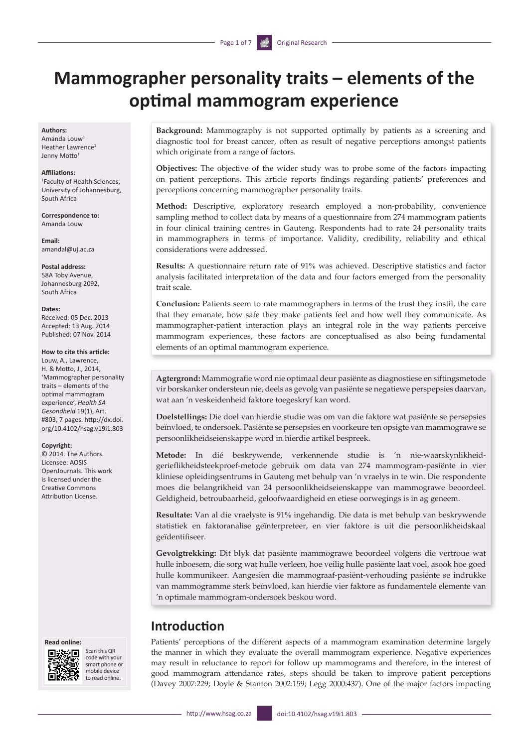# **Mammographer personality traits – elements of the optimal mammogram experience**

#### **Authors:**

Amanda Louw1 Heather Lawrence<sup>1</sup> Jenny Motto<sup>1</sup>

#### **Affiliations:**

1 Faculty of Health Sciences, University of Johannesburg, South Africa

**Correspondence to:** Amanda Louw

**Email:** [amandal@uj.ac.za](mailto:amandal@uj.ac.za)

**Postal address:** 58A Toby Avenue, Johannesburg 2092, South Africa

#### **Dates:**

Received: 05 Dec. 2013 Accepted: 13 Aug. 2014 Published: 07 Nov. 2014

#### **How to cite this article:**

Louw, A., Lawrence, H. & Motto, J., 2014, 'Mammographer personality traits – elements of the optimal mammogram experience', *Health SA Gesondheid* 19(1), Art. #803, 7 pages. [http://dx.doi.](http://dx.doi.org/10.4102/hsag.v19i1.803) [org/10.4102/hsag.v19i1.803](http://dx.doi.org/10.4102/hsag.v19i1.803)

#### **Copyright:**

© 2014. The Authors. Licensee: AOSIS OpenJournals. This work is licensed under the Creative Commons Attribution License.

#### **Read online:**



Scan this OR code with your smart phone or mobile device to read online.

**Background:** Mammography is not supported optimally by patients as a screening and diagnostic tool for breast cancer, often as result of negative perceptions amongst patients which originate from a range of factors.

**Objectives:** The objective of the wider study was to probe some of the factors impacting on patient perceptions. This article reports findings regarding patients' preferences and perceptions concerning mammographer personality traits.

**Method:** Descriptive, exploratory research employed a non-probability, convenience sampling method to collect data by means of a questionnaire from 274 mammogram patients in four clinical training centres in Gauteng. Respondents had to rate 24 personality traits in mammographers in terms of importance. Validity, credibility, reliability and ethical considerations were addressed.

**Results:** A questionnaire return rate of 91% was achieved. Descriptive statistics and factor analysis facilitated interpretation of the data and four factors emerged from the personality trait scale.

**Conclusion:** Patients seem to rate mammographers in terms of the trust they instil, the care that they emanate, how safe they make patients feel and how well they communicate. As mammographer-patient interaction plays an integral role in the way patients perceive mammogram experiences, these factors are conceptualised as also being fundamental elements of an optimal mammogram experience.

**Agtergrond:** Mammografie word nie optimaal deur pasiënte as diagnostiese en siftingsmetode vir borskanker ondersteun nie, deels as gevolg van pasiënte se negatiewe perspepsies daarvan, wat aan 'n veskeidenheid faktore toegeskryf kan word.

**Doelstellings:** Die doel van hierdie studie was om van die faktore wat pasiënte se persepsies beïnvloed, te ondersoek. Pasiënte se persepsies en voorkeure ten opsigte van mammograwe se persoonlikheidseienskappe word in hierdie artikel bespreek.

**Metode:** In dié beskrywende, verkennende studie is 'n nie-waarskynlikheidgerieflikheidsteekproef-metode gebruik om data van 274 mammogram-pasiënte in vier kliniese opleidingsentrums in Gauteng met behulp van 'n vraelys in te win. Die respondente moes die belangrikheid van 24 persoonlikheidseienskappe van mammograwe beoordeel. Geldigheid, betroubaarheid, geloofwaardigheid en etiese oorwegings is in ag geneem.

**Resultate:** Van al die vraelyste is 91% ingehandig. Die data is met behulp van beskrywende statistiek en faktoranalise geïnterpreteer, en vier faktore is uit die persoonlikheidskaal geïdentifiseer.

**Gevolgtrekking:** Dit blyk dat pasiënte mammograwe beoordeel volgens die vertroue wat hulle inboesem, die sorg wat hulle verleen, hoe veilig hulle pasiënte laat voel, asook hoe goed hulle kommunikeer. Aangesien die mammograaf-pasiënt-verhouding pasiënte se indrukke van mammogramme sterk beïnvloed, kan hierdie vier faktore as fundamentele elemente van 'n optimale mammogram-ondersoek beskou word.

# **Introduction**

Patients' perceptions of the different aspects of a mammogram examination determine largely the manner in which they evaluate the overall mammogram experience. Negative experiences may result in reluctance to report for follow up mammograms and therefore, in the interest of good mammogram attendance rates, steps should be taken to improve patient perceptions (Davey 2007:229; Doyle & Stanton 2002:159; Legg 2000:437). One of the major factors impacting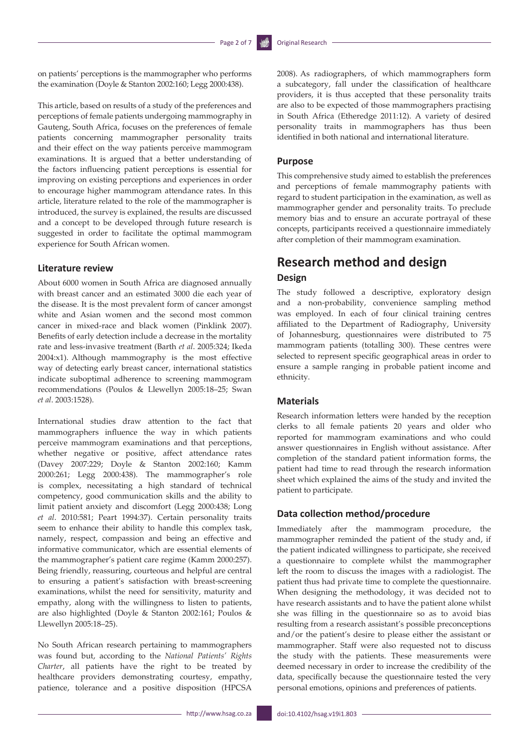on patients' perceptions is the mammographer who performs the examination (Doyle & Stanton 2002:160; Legg 2000:438).

This article, based on results of a study of the preferences and perceptions of female patients undergoing mammography in Gauteng, South Africa, focuses on the preferences of female patients concerning mammographer personality traits and their effect on the way patients perceive mammogram examinations. It is argued that a better understanding of the factors influencing patient perceptions is essential for improving on existing perceptions and experiences in order to encourage higher mammogram attendance rates. In this article, literature related to the role of the mammographer is introduced, the survey is explained, the results are discussed and a concept to be developed through future research is suggested in order to facilitate the optimal mammogram experience for South African women.

### **Literature review**

About 6000 women in South Africa are diagnosed annually with breast cancer and an estimated 3000 die each year of the disease. It is the most prevalent form of cancer amongst white and Asian women and the second most common cancer in mixed-race and black women (Pinklink 2007). Benefits of early detection include a decrease in the mortality rate and less-invasive treatment (Barth *et al*. 2005:324; Ikeda 2004:x1). Although mammography is the most effective way of detecting early breast cancer, international statistics indicate suboptimal adherence to screening mammogram recommendations (Poulos & Llewellyn 2005:18–25; Swan *et al*. 2003:1528).

International studies draw attention to the fact that mammographers influence the way in which patients perceive mammogram examinations and that perceptions, whether negative or positive, affect attendance rates (Davey 2007:229; Doyle & Stanton 2002:160; Kamm 2000:261; Legg 2000:438). The mammographer's role is complex, necessitating a high standard of technical competency, good communication skills and the ability to limit patient anxiety and discomfort (Legg 2000:438; Long *et al*. 2010:581; Peart 1994:37). Certain personality traits seem to enhance their ability to handle this complex task, namely, respect, compassion and being an effective and informative communicator, which are essential elements of the mammographer's patient care regime (Kamm 2000:257). Being friendly, reassuring, courteous and helpful are central to ensuring a patient's satisfaction with breast-screening examinations, whilst the need for sensitivity, maturity and empathy, along with the willingness to listen to patients, are also highlighted (Doyle & Stanton 2002:161; Poulos & Llewellyn 2005:18–25).

No South African research pertaining to mammographers was found but, according to the *National Patients' Rights Charter*, all patients have the right to be treated by healthcare providers demonstrating courtesy, empathy, patience, tolerance and a positive disposition (HPCSA

2008). As radiographers, of which mammographers form a subcategory, fall under the classification of healthcare providers, it is thus accepted that these personality traits are also to be expected of those mammographers practising in South Africa (Etheredge 2011:12). A variety of desired personality traits in mammographers has thus been identified in both national and international literature.

#### **Purpose**

This comprehensive study aimed to establish the preferences and perceptions of female mammography patients with regard to student participation in the examination, as well as mammographer gender and personality traits. To preclude memory bias and to ensure an accurate portrayal of these concepts, participants received a questionnaire immediately after completion of their mammogram examination.

### **Research method and design Design**

The study followed a descriptive, exploratory design and a non-probability, convenience sampling method was employed. In each of four clinical training centres affiliated to the Department of Radiography, University of Johannesburg, questionnaires were distributed to 75 mammogram patients (totalling 300). These centres were selected to represent specific geographical areas in order to ensure a sample ranging in probable patient income and ethnicity.

### **Materials**

Research information letters were handed by the reception clerks to all female patients 20 years and older who reported for mammogram examinations and who could answer questionnaires in English without assistance. After completion of the standard patient information forms, the patient had time to read through the research information sheet which explained the aims of the study and invited the patient to participate.

### **Data collection method/procedure**

Immediately after the mammogram procedure, the mammographer reminded the patient of the study and, if the patient indicated willingness to participate, she received a questionnaire to complete whilst the mammographer left the room to discuss the images with a radiologist. The patient thus had private time to complete the questionnaire. When designing the methodology, it was decided not to have research assistants and to have the patient alone whilst she was filling in the questionnaire so as to avoid bias resulting from a research assistant's possible preconceptions and/or the patient's desire to please either the assistant or mammographer. Staff were also requested not to discuss the study with the patients. These measurements were deemed necessary in order to increase the credibility of the data, specifically because the questionnaire tested the very personal emotions, opinions and preferences of patients.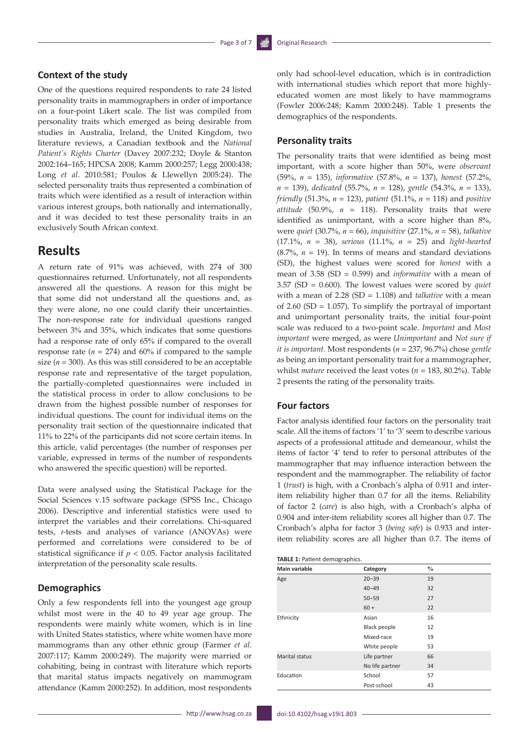### **Context of the study**

One of the questions required respondents to rate 24 listed personality traits in mammographers in order of importance on a four-point Likert scale. The list was compiled from personality traits which emerged as being desirable from studies in Australia, Ireland, the United Kingdom, two literature reviews, a Canadian textbook and the *National Patient's Rights Charter* (Davey 2007:232; Doyle & Stanton 2002:164–165; HPCSA 2008; Kamm 2000:257; Legg 2000:438; Long *et al*. 2010:581; Poulos & Llewellyn 2005:24). The selected personality traits thus represented a combination of traits which were identified as a result of interaction within various interest groups, both nationally and internationally, and it was decided to test these personality traits in an exclusively South African context.

### **Results**

A return rate of 91% was achieved, with 274 of 300 questionnaires returned. Unfortunately, not all respondents answered all the questions. A reason for this might be that some did not understand all the questions and, as they were alone, no one could clarify their uncertainties. The non-response rate for individual questions ranged between 3% and 35%, which indicates that some questions had a response rate of only 65% if compared to the overall response rate (*n =* 274) and 60% if compared to the sample size (*n* = 300). As this was still considered to be an acceptable response rate and representative of the target population, the partially-completed questionnaires were included in the statistical process in order to allow conclusions to be drawn from the highest possible number of responses for individual questions. The count for individual items on the personality trait section of the questionnaire indicated that 11% to 22% of the participants did not score certain items. In this article, valid percentages (the number of responses per variable, expressed in terms of the number of respondents who answered the specific question) will be reported.

Data were analysed using the Statistical Package for the Social Sciences v.15 software package (SPSS Inc., Chicago 2006). Descriptive and inferential statistics were used to interpret the variables and their correlations. Chi-squared tests, *t*-tests and analyses of variance (ANOVAs) were performed and correlations were considered to be of statistical significance if  $p < 0.05$ . Factor analysis facilitated interpretation of the personality scale results.

### **Demographics**

Only a few respondents fell into the youngest age group whilst most were in the 40 to 49 year age group. The respondents were mainly white women, which is in line with United States statistics, where white women have more mammograms than any other ethnic group (Farmer *et al*. 2007:117; Kamm 2000:249). The majority were married or cohabiting, being in contrast with literature which reports that marital status impacts negatively on mammogram attendance (Kamm 2000:252). In addition, most respondents

only had school-level education, which is in contradiction with international studies which report that more highlyeducated women are most likely to have mammograms (Fowler 2006:248; Kamm 2000:248). Table 1 presents the demographics of the respondents.

#### **Personality traits**

The personality traits that were identified as being most important, with a score higher than 50%, were *observant* (59%, *n* = 135), *informative* (57.8%, *n* = 137), *honest* (57.2%, *n* = 139), *dedicated* (55.7%, *n* = 128), *gentle* (54.3%, *n* = 133), *friendly* (51.3%, *n* = 123), *patient* (51.1%, *n* = 118) and *positive attitude* (50.9%,  $n = 118$ ). Personality traits that were identified as unimportant, with a score higher than 8%, were *quiet* (30.7%, *n* = 66), *inquisitive* (27.1%, *n* = 58), *talkative* (17.1%, *n* = 38), *serious* (11.1%, *n* = 25) and *light-hearted* (8.7%, *n* = 19). In terms of means and standard deviations (SD), the highest values were scored for *honest* with a mean of 3.58 (SD = 0.599) and *informative* with a mean of 3.57 (SD = 0.600). The lowest values were scored by *quiet* with a mean of 2.28 (SD = 1.108) and *talkative* with a mean of 2.60 (SD = 1.057). To simplify the portrayal of important and unimportant personality traits, the initial four-point scale was reduced to a two-point scale. *Important* and *Most important* were merged, as were *Unimportant* and *Not sure if it is important.* Most respondents (*n* = 237, 96.7%) chose *gentle* as being an important personality trait for a mammographer, whilst *mature* received the least votes (*n* = 183, 80.2%). Table 2 presents the rating of the personality traits.

### **Four factors**

Factor analysis identified four factors on the personality trait scale. All the items of factors '1' to '3' seem to describe various aspects of a professional attitude and demeanour, whilst the items of factor '4' tend to refer to personal attributes of the mammographer that may influence interaction between the respondent and the mammographer. The reliability of factor 1 (*trust*) is high, with a Cronbach's alpha of 0.911 and interitem reliability higher than 0.7 for all the items. Reliability of factor 2 (*care*) is also high, with a Cronbach's alpha of 0.904 and inter-item reliability scores all higher than 0.7. The Cronbach's alpha for factor 3 (*being safe*) is 0.933 and interitem reliability scores are all higher than 0.7. The items of

| <b>TABLE 1: Patient demographics.</b> |                     |               |  |  |
|---------------------------------------|---------------------|---------------|--|--|
| <b>Main variable</b>                  | Category            | $\frac{0}{0}$ |  |  |
| Age                                   | $20 - 39$           | 19            |  |  |
|                                       | $40 - 49$           | 32            |  |  |
|                                       | $50 - 59$           | 27            |  |  |
|                                       | $60 +$              | 22            |  |  |
| Ethnicity                             | Asian               | 16            |  |  |
|                                       | <b>Black people</b> | 12            |  |  |
|                                       | Mixed-race          | 19            |  |  |
|                                       | White people        | 53            |  |  |
| Marital status                        | Life partner        | 66            |  |  |
|                                       | No life partner     | 34            |  |  |
| Education                             | School              | 57            |  |  |
|                                       | Post-school         | 43            |  |  |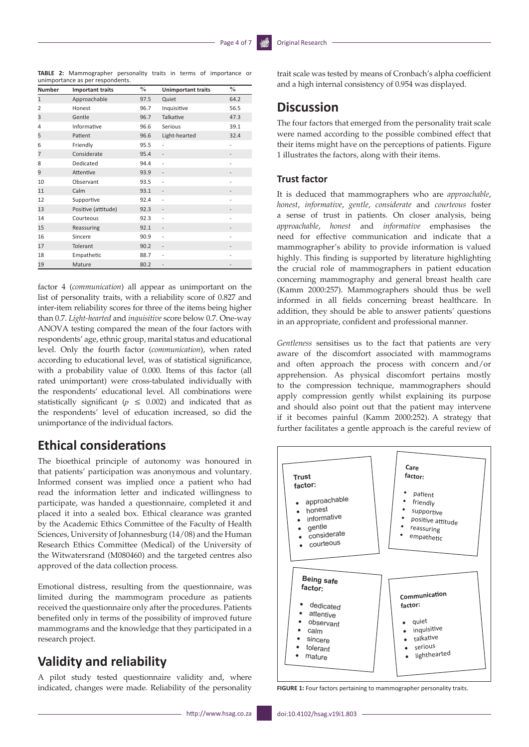**TABLE 2:** Mammographer personality traits in terms of importance or unimportance as per respondents.

| <b>Number</b>  | <b>Important traits</b> | $\%$ | <b>Unimportant traits</b> | $\frac{0}{0}$ |
|----------------|-------------------------|------|---------------------------|---------------|
| $\mathbf{1}$   | Approachable            | 97.5 | Quiet                     | 64.2          |
| $\overline{2}$ | Honest                  | 96.7 | Inquisitive               | 56.5          |
| 3              | Gentle                  | 96.7 | Talkative                 | 47.3          |
| 4              | Informative             | 96.6 | Serious                   | 39.1          |
| 5              | Patient                 | 96.6 | Light-hearted             | 32.4          |
| 6              | Friendly                | 95.5 |                           |               |
| 7              | Considerate             | 95.4 | $\overline{\phantom{a}}$  |               |
| 8              | Dedicated               | 94.4 |                           |               |
| 9              | Attentive               | 93.9 |                           |               |
| 10             | Observant               | 93.5 |                           |               |
| 11             | Calm                    | 93.1 |                           |               |
| 12             | Supportive              | 92.4 |                           |               |
| 13             | Positive (attitude)     | 92.3 | $\overline{\phantom{a}}$  |               |
| 14             | Courteous               | 92.3 | $\overline{a}$            |               |
| 15             | Reassuring              | 92.1 | $\overline{a}$            |               |
| 16             | Sincere                 | 90.9 | $\overline{a}$            |               |
| 17             | Tolerant                | 90.2 |                           |               |
| 18             | Empathetic              | 88.7 | $\overline{a}$            |               |
| 19             | Mature                  | 80.2 |                           |               |

factor 4 (*communication*) all appear as unimportant on the list of personality traits, with a reliability score of 0.827 and inter-item reliability scores for three of the items being higher than 0.7. *Light-hearted* and *inquisitive* score below 0.7. One-way ANOVA testing compared the mean of the four factors with respondents' age, ethnic group, marital status and educational level. Only the fourth factor (*communication*), when rated according to educational level, was of statistical significance, with a probability value of 0.000. Items of this factor (all rated unimportant) were cross-tabulated individually with the respondents' educational level. All combinations were statistically significant ( $p \le 0.002$ ) and indicated that as the respondents' level of education increased, so did the unimportance of the individual factors.

# **Ethical considerations**

The bioethical principle of autonomy was honoured in that patients' participation was anonymous and voluntary. Informed consent was implied once a patient who had read the information letter and indicated willingness to participate, was handed a questionnaire, completed it and placed it into a sealed box. Ethical clearance was granted by the Academic Ethics Committee of the Faculty of Health Sciences, University of Johannesburg (14/08) and the Human Research Ethics Committee (Medical) of the University of the Witwatersrand (M080460) and the targeted centres also approved of the data collection process.

Emotional distress, resulting from the questionnaire, was limited during the mammogram procedure as patients received the questionnaire only after the procedures. Patients benefited only in terms of the possibility of improved future mammograms and the knowledge that they participated in a research project.

# **Validity and reliability**

A pilot study tested questionnaire validity and, where indicated, changes were made. Reliability of the personality

trait scale was tested by means of Cronbach's alpha coefficient and a high internal consistency of 0.954 was displayed.

### **Discussion**

The four factors that emerged from the personality trait scale were named according to the possible combined effect that their items might have on the perceptions of patients. Figure 1 illustrates the factors, along with their items.

### **Trust factor**

It is deduced that mammographers who are *approachable*, *honest*, *informative*, *gentle*, *considerate* and *courteous* foster a sense of trust in patients. On closer analysis, being *approachable*, *honest* and *informative* emphasises the need for effective communication and indicate that a mammographer's ability to provide information is valued highly. This finding is supported by literature highlighting the crucial role of mammographers in patient education concerning mammography and general breast health care (Kamm 2000:257). Mammographers should thus be well informed in all fields concerning breast healthcare. In addition, they should be able to answer patients' questions in an appropriate, confident and professional manner.

*Gentleness* sensitises us to the fact that patients are very aware of the discomfort associated with mammograms and often approach the process with concern and/or apprehension. As physical discomfort pertains mostly to the compression technique, mammographers should apply compression gently whilst explaining its purpose and should also point out that the patient may intervene if it becomes painful (Kamm 2000:252). A strategy that further facilitates a gentle approach is the careful review of



**FIGURE 1:** Four factors pertaining to mammographer personality traits.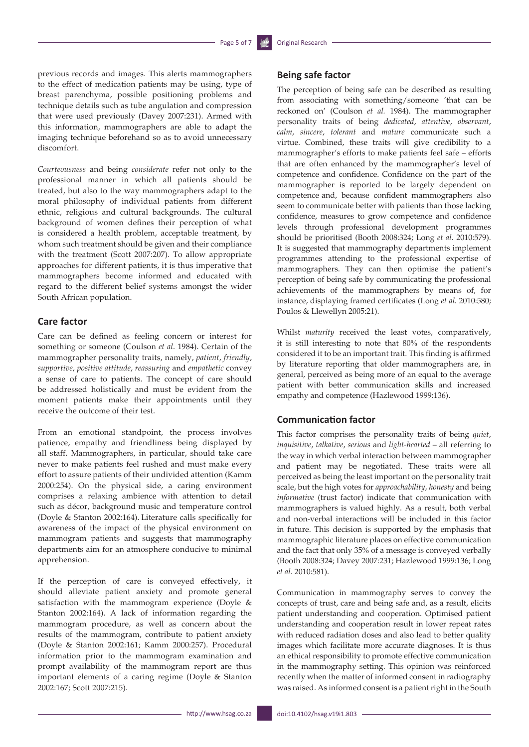previous records and images. This alerts mammographers to the effect of medication patients may be using, type of breast parenchyma, possible positioning problems and technique details such as tube angulation and compression that were used previously (Davey 2007:231). Armed with this information, mammographers are able to adapt the imaging technique beforehand so as to avoid unnecessary discomfort.

*Courteousness* and being *considerate* refer not only to the professional manner in which all patients should be treated, but also to the way mammographers adapt to the moral philosophy of individual patients from different ethnic, religious and cultural backgrounds. The cultural background of women defines their perception of what is considered a health problem, acceptable treatment, by whom such treatment should be given and their compliance with the treatment (Scott 2007:207). To allow appropriate approaches for different patients, it is thus imperative that mammographers become informed and educated with regard to the different belief systems amongst the wider South African population.

### **Care factor**

Care can be defined as feeling concern or interest for something or someone (Coulson *et al*. 1984). Certain of the mammographer personality traits, namely, *patient*, *friendly*, *supportive*, *positive attitude*, *reassuring* and *empathetic* convey a sense of care to patients. The concept of care should be addressed holistically and must be evident from the moment patients make their appointments until they receive the outcome of their test.

From an emotional standpoint, the process involves patience, empathy and friendliness being displayed by all staff. Mammographers, in particular, should take care never to make patients feel rushed and must make every effort to assure patients of their undivided attention (Kamm 2000:254). On the physical side, a caring environment comprises a relaxing ambience with attention to detail such as décor, background music and temperature control (Doyle & Stanton 2002:164). Literature calls specifically for awareness of the impact of the physical environment on mammogram patients and suggests that mammography departments aim for an atmosphere conducive to minimal apprehension.

If the perception of care is conveyed effectively, it should alleviate patient anxiety and promote general satisfaction with the mammogram experience (Doyle & Stanton 2002:164). A lack of information regarding the mammogram procedure, as well as concern about the results of the mammogram, contribute to patient anxiety (Doyle & Stanton 2002:161; Kamm 2000:257). Procedural information prior to the mammogram examination and prompt availability of the mammogram report are thus important elements of a caring regime (Doyle & Stanton 2002:167; Scott 2007:215).

### **Being safe factor**

The perception of being safe can be described as resulting from associating with something/someone 'that can be reckoned on' (Coulson *et al.* 1984). The mammographer personality traits of being *dedicated*, *attentive*, *observant*, *calm*, *sincere*, *tolerant* and *mature* communicate such a virtue. Combined, these traits will give credibility to a mammographer's efforts to make patients feel safe – efforts that are often enhanced by the mammographer's level of competence and confidence. Confidence on the part of the mammographer is reported to be largely dependent on competence and, because confident mammographers also seem to communicate better with patients than those lacking confidence, measures to grow competence and confidence levels through professional development programmes should be prioritised (Booth 2008:324; Long *et al.* 2010:579). It is suggested that mammography departments implement programmes attending to the professional expertise of mammographers. They can then optimise the patient's perception of being safe by communicating the professional achievements of the mammographers by means of, for instance, displaying framed certificates (Long *et al.* 2010:580; Poulos & Llewellyn 2005:21).

Whilst *maturity* received the least votes, comparatively, it is still interesting to note that 80% of the respondents considered it to be an important trait. This finding is affirmed by literature reporting that older mammographers are, in general, perceived as being more of an equal to the average patient with better communication skills and increased empathy and competence (Hazlewood 1999:136).

#### **Communication factor**

This factor comprises the personality traits of being *quiet*, *inquisitive*, *talkative*, *serious* and *light-hearted* – all referring to the way in which verbal interaction between mammographer and patient may be negotiated. These traits were all perceived as being the least important on the personality trait scale, but the high votes for *approachability*, *honesty* and being *informative* (trust factor) indicate that communication with mammographers is valued highly. As a result, both verbal and non-verbal interactions will be included in this factor in future. This decision is supported by the emphasis that mammographic literature places on effective communication and the fact that only 35% of a message is conveyed verbally (Booth 2008:324; Davey 2007:231; Hazlewood 1999:136; Long *et al.* 2010:581).

Communication in mammography serves to convey the concepts of trust, care and being safe and, as a result, elicits patient understanding and cooperation. Optimised patient understanding and cooperation result in lower repeat rates with reduced radiation doses and also lead to better quality images which facilitate more accurate diagnoses. It is thus an ethical responsibility to promote effective communication in the mammography setting. This opinion was reinforced recently when the matter of informed consent in radiography was raised. As informed consent is a patient right in the South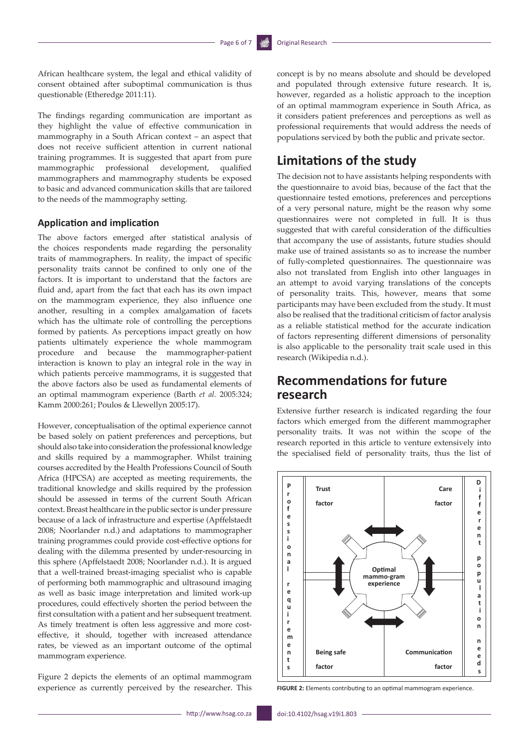African healthcare system, the legal and ethical validity of consent obtained after suboptimal communication is thus questionable (Etheredge 2011:11).

The findings regarding communication are important as they highlight the value of effective communication in mammography in a South African context – an aspect that does not receive sufficient attention in current national training programmes. It is suggested that apart from pure mammographic professional development, qualified mammographers and mammography students be exposed to basic and advanced communication skills that are tailored to the needs of the mammography setting.

### **Application and implication**

The above factors emerged after statistical analysis of the choices respondents made regarding the personality traits of mammographers. In reality, the impact of specific personality traits cannot be confined to only one of the factors. It is important to understand that the factors are fluid and, apart from the fact that each has its own impact on the mammogram experience, they also influence one another, resulting in a complex amalgamation of facets which has the ultimate role of controlling the perceptions formed by patients. As perceptions impact greatly on how patients ultimately experience the whole mammogram procedure and because the mammographer-patient interaction is known to play an integral role in the way in which patients perceive mammograms, it is suggested that the above factors also be used as fundamental elements of an optimal mammogram experience (Barth *et al.* 2005:324; Kamm 2000:261; Poulos & Llewellyn 2005:17).

However, conceptualisation of the optimal experience cannot be based solely on patient preferences and perceptions, but should also take into consideration the professional knowledge and skills required by a mammographer. Whilst training courses accredited by the Health Professions Council of South Africa (HPCSA) are accepted as meeting requirements, the traditional knowledge and skills required by the profession should be assessed in terms of the current South African context. Breast healthcare in the public sector is under pressure because of a lack of infrastructure and expertise (Apffelstaedt 2008; Noorlander n.d.) and adaptations to mammographer training programmes could provide cost-effective options for dealing with the dilemma presented by under-resourcing in this sphere (Apffelstaedt 2008; Noorlander n.d.). It is argued that a well-trained breast-imaging specialist who is capable of performing both mammographic and ultrasound imaging as well as basic image interpretation and limited work-up procedures, could effectively shorten the period between the first consultation with a patient and her subsequent treatment. As timely treatment is often less aggressive and more costeffective, it should, together with increased attendance rates, be viewed as an important outcome of the optimal mammogram experience.

Figure 2 depicts the elements of an optimal mammogram experience as currently perceived by the researcher. This

concept is by no means absolute and should be developed and populated through extensive future research. It is, however, regarded as a holistic approach to the inception of an optimal mammogram experience in South Africa, as it considers patient preferences and perceptions as well as professional requirements that would address the needs of populations serviced by both the public and private sector.

# **Limitations of the study**

The decision not to have assistants helping respondents with the questionnaire to avoid bias, because of the fact that the questionnaire tested emotions, preferences and perceptions of a very personal nature, might be the reason why some questionnaires were not completed in full. It is thus suggested that with careful consideration of the difficulties that accompany the use of assistants, future studies should make use of trained assistants so as to increase the number of fully-completed questionnaires. The questionnaire was also not translated from English into other languages in an attempt to avoid varying translations of the concepts of personality traits. This, however, means that some participants may have been excluded from the study. It must also be realised that the traditional criticism of factor analysis as a reliable statistical method for the accurate indication of factors representing different dimensions of personality is also applicable to the personality trait scale used in this research (Wikipedia n.d.).

# **Recommendations for future research**

Extensive further research is indicated regarding the four factors which emerged from the different mammographer personality traits. It was not within the scope of the research reported in this article to venture extensively into the specialised field of personality traits, thus the list of



**FIGURE 2:** Elements contributing to an optimal mammogram experience.